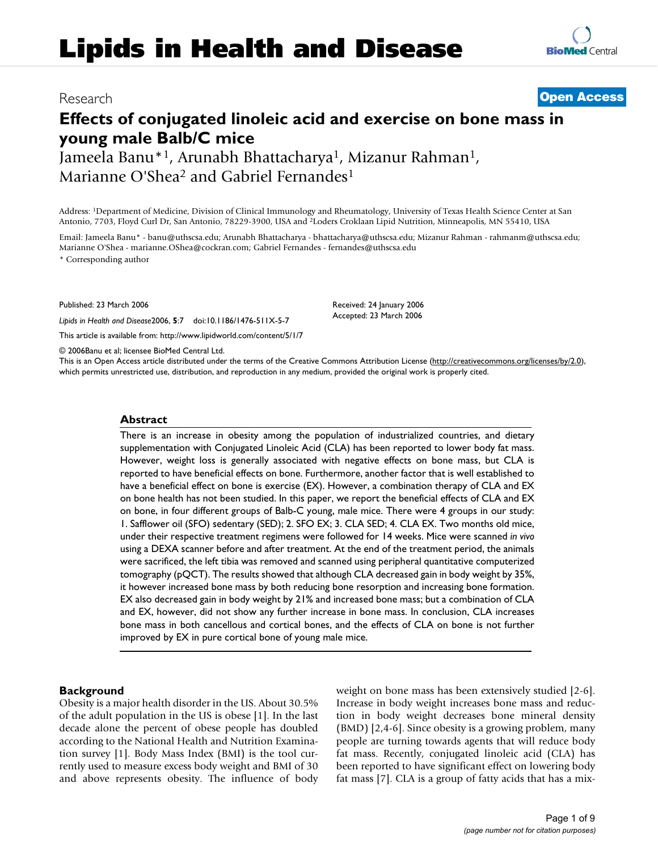# **Effects of conjugated linoleic acid and exercise on bone mass in young male Balb/C mice**

Jameela Banu\*1, Arunabh Bhattacharya1, Mizanur Rahman1, Marianne O'Shea<sup>2</sup> and Gabriel Fernandes<sup>1</sup>

Address: 1Department of Medicine, Division of Clinical Immunology and Rheumatology, University of Texas Health Science Center at San Antonio, 7703, Floyd Curl Dr, San Antonio, 78229-3900, USA and 2Loders Croklaan Lipid Nutrition, Minneapolis, MN 55410, USA

Email: Jameela Banu\* - banu@uthscsa.edu; Arunabh Bhattacharya - bhattacharya@uthscsa.edu; Mizanur Rahman - rahmanm@uthscsa.edu; Marianne O'Shea - marianne.OShea@cockran.com; Gabriel Fernandes - fernandes@uthscsa.edu

\* Corresponding author

Published: 23 March 2006

*Lipids in Health and Disease*2006, **5**:7 doi:10.1186/1476-511X-5-7

[This article is available from: http://www.lipidworld.com/content/5/1/7](http://www.lipidworld.com/content/5/1/7)

© 2006Banu et al; licensee BioMed Central Ltd.

This is an Open Access article distributed under the terms of the Creative Commons Attribution License [\(http://creativecommons.org/licenses/by/2.0\)](http://creativecommons.org/licenses/by/2.0), which permits unrestricted use, distribution, and reproduction in any medium, provided the original work is properly cited.

Received: 24 January 2006 Accepted: 23 March 2006

# **Abstract**

There is an increase in obesity among the population of industrialized countries, and dietary supplementation with Conjugated Linoleic Acid (CLA) has been reported to lower body fat mass. However, weight loss is generally associated with negative effects on bone mass, but CLA is reported to have beneficial effects on bone. Furthermore, another factor that is well established to have a beneficial effect on bone is exercise (EX). However, a combination therapy of CLA and EX on bone health has not been studied. In this paper, we report the beneficial effects of CLA and EX on bone, in four different groups of Balb-C young, male mice. There were 4 groups in our study: 1. Safflower oil (SFO) sedentary (SED); 2. SFO EX; 3. CLA SED; 4. CLA EX. Two months old mice, under their respective treatment regimens were followed for 14 weeks. Mice were scanned *in vivo* using a DEXA scanner before and after treatment. At the end of the treatment period, the animals were sacrificed, the left tibia was removed and scanned using peripheral quantitative computerized tomography (pQCT). The results showed that although CLA decreased gain in body weight by 35%, it however increased bone mass by both reducing bone resorption and increasing bone formation. EX also decreased gain in body weight by 21% and increased bone mass; but a combination of CLA and EX, however, did not show any further increase in bone mass. In conclusion, CLA increases bone mass in both cancellous and cortical bones, and the effects of CLA on bone is not further improved by EX in pure cortical bone of young male mice.

# **Background**

Obesity is a major health disorder in the US. About 30.5% of the adult population in the US is obese [1]. In the last decade alone the percent of obese people has doubled according to the National Health and Nutrition Examination survey [1]. Body Mass Index (BMI) is the tool currently used to measure excess body weight and BMI of 30 and above represents obesity. The influence of body weight on bone mass has been extensively studied [2-6]. Increase in body weight increases bone mass and reduction in body weight decreases bone mineral density (BMD) [2,4-6]. Since obesity is a growing problem, many people are turning towards agents that will reduce body fat mass. Recently, conjugated linoleic acid (CLA) has been reported to have significant effect on lowering body fat mass [7]. CLA is a group of fatty acids that has a mix-

Research **[Open Access](http://www.biomedcentral.com/info/about/charter/)**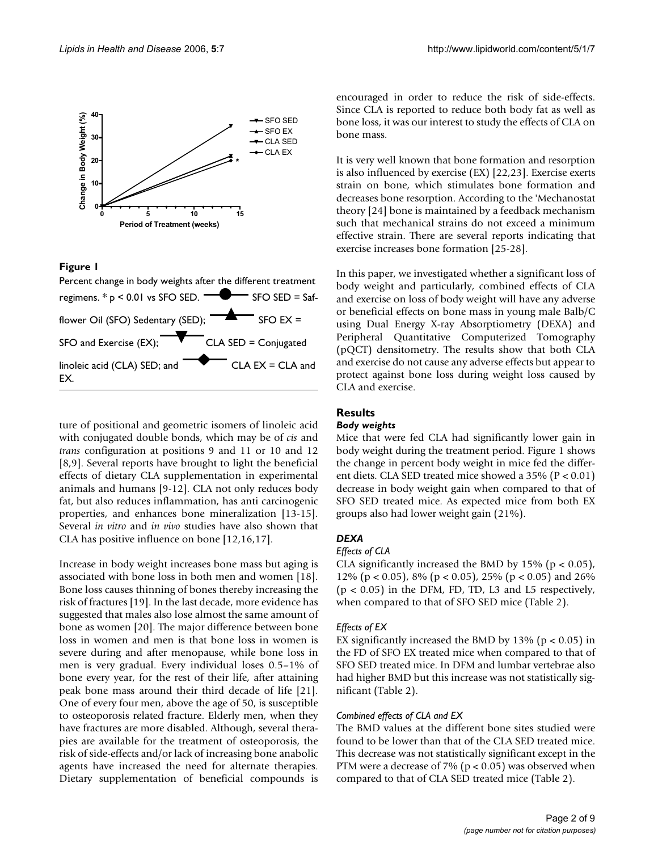



# **Figure I**



ture of positional and geometric isomers of linoleic acid with conjugated double bonds, which may be of *cis* and *trans* configuration at positions 9 and 11 or 10 and 12 [8,9]. Several reports have brought to light the beneficial effects of dietary CLA supplementation in experimental animals and humans [9-12]. CLA not only reduces body fat, but also reduces inflammation, has anti carcinogenic properties, and enhances bone mineralization [13-15]. Several *in vitro* and *in vivo* studies have also shown that CLA has positive influence on bone [12,16,17].

Increase in body weight increases bone mass but aging is associated with bone loss in both men and women [18]. Bone loss causes thinning of bones thereby increasing the risk of fractures [19]. In the last decade, more evidence has suggested that males also lose almost the same amount of bone as women [20]. The major difference between bone loss in women and men is that bone loss in women is severe during and after menopause, while bone loss in men is very gradual. Every individual loses 0.5–1% of bone every year, for the rest of their life, after attaining peak bone mass around their third decade of life [21]. One of every four men, above the age of 50, is susceptible to osteoporosis related fracture. Elderly men, when they have fractures are more disabled. Although, several therapies are available for the treatment of osteoporosis, the risk of side-effects and/or lack of increasing bone anabolic agents have increased the need for alternate therapies. Dietary supplementation of beneficial compounds is encouraged in order to reduce the risk of side-effects. Since CLA is reported to reduce both body fat as well as bone loss, it was our interest to study the effects of CLA on bone mass.

It is very well known that bone formation and resorption is also influenced by exercise (EX) [22,23]. Exercise exerts strain on bone, which stimulates bone formation and decreases bone resorption. According to the 'Mechanostat theory [24] bone is maintained by a feedback mechanism such that mechanical strains do not exceed a minimum effective strain. There are several reports indicating that exercise increases bone formation [25-28].

In this paper, we investigated whether a significant loss of body weight and particularly, combined effects of CLA and exercise on loss of body weight will have any adverse or beneficial effects on bone mass in young male Balb/C using Dual Energy X-ray Absorptiometry (DEXA) and Peripheral Quantitative Computerized Tomography (pQCT) densitometry. The results show that both CLA and exercise do not cause any adverse effects but appear to protect against bone loss during weight loss caused by CLA and exercise.

# **Results**

#### *Body weights*

Mice that were fed CLA had significantly lower gain in body weight during the treatment period. Figure 1 shows the change in percent body weight in mice fed the different diets. CLA SED treated mice showed a  $35\%$  (P < 0.01) decrease in body weight gain when compared to that of SFO SED treated mice. As expected mice from both EX groups also had lower weight gain (21%).

# *DEXA*

#### *Effects of CLA*

CLA significantly increased the BMD by  $15\%$  (p < 0.05), 12% (p < 0.05), 8% (p < 0.05), 25% (p < 0.05) and 26%  $(p < 0.05)$  in the DFM, FD, TD, L3 and L5 respectively, when compared to that of SFO SED mice (Table 2).

#### *Effects of EX*

EX significantly increased the BMD by  $13\%$  (p < 0.05) in the FD of SFO EX treated mice when compared to that of SFO SED treated mice. In DFM and lumbar vertebrae also had higher BMD but this increase was not statistically significant (Table 2).

# *Combined effects of CLA and EX*

The BMD values at the different bone sites studied were found to be lower than that of the CLA SED treated mice. This decrease was not statistically significant except in the PTM were a decrease of 7% ( $p < 0.05$ ) was observed when compared to that of CLA SED treated mice (Table 2).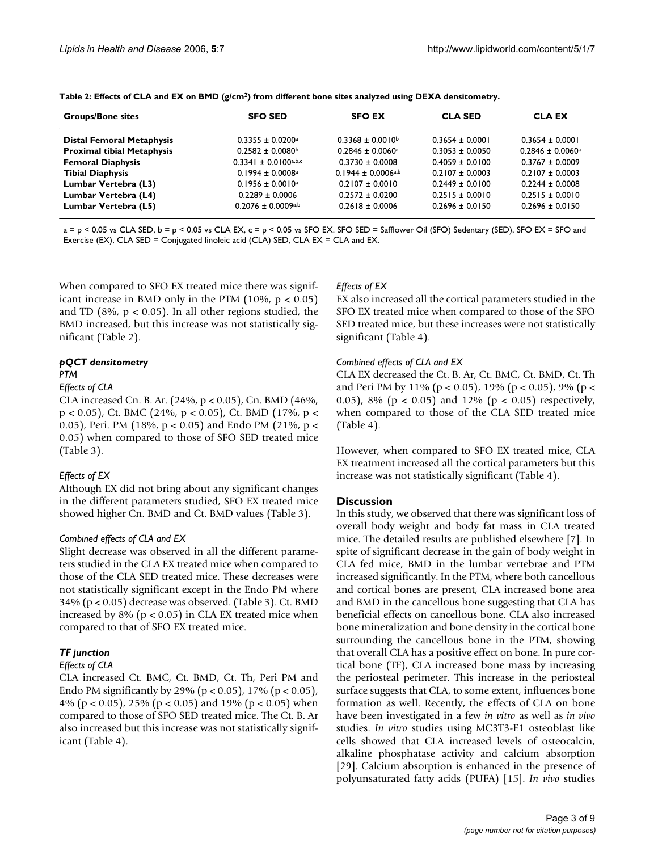| Table 2: Effects of CLA and EX on BMD (g/cm <sup>2</sup> ) from different bone sites analyzed using DEXA densitometry. |  |  |  |
|------------------------------------------------------------------------------------------------------------------------|--|--|--|
|------------------------------------------------------------------------------------------------------------------------|--|--|--|

| <b>Groups/Bone sites</b>          | <b>SFO SED</b>                     | <b>SFO EX</b>                    | <b>CLA SED</b>      | <b>CLA EX</b>                    |
|-----------------------------------|------------------------------------|----------------------------------|---------------------|----------------------------------|
| <b>Distal Femoral Metaphysis</b>  | $0.3355 \pm 0.0200$ <sup>a</sup>   | $0.3368 \pm 0.0010^{\circ}$      | $0.3654 \pm 0.0001$ | $0.3654 \pm 0.0001$              |
| <b>Proximal tibial Metaphysis</b> | $0.2582 \pm 0.0080$ <sup>b</sup>   | $0.2846 \pm 0.0060$ <sup>a</sup> | $0.3053 \pm 0.0050$ | $0.2846 \pm 0.0060$ <sup>a</sup> |
| <b>Femoral Diaphysis</b>          | $0.3341 \pm 0.0100$ a,b,c          | $0.3730 \pm 0.0008$              | $0.4059 \pm 0.0100$ | $0.3767 \pm 0.0009$              |
| <b>Tibial Diaphysis</b>           | $0.1994 + 0.0008a$                 | $0.1944 + 0.0006$ a,b            | $0.2107 + 0.0003$   | $0.2107 \pm 0.0003$              |
| Lumbar Vertebra (L3)              | $0.1956 \pm 0.0010$ <sup>a</sup>   | $0.2107 \pm 0.0010$              | $0.2449 \pm 0.0100$ | $0.2244 \pm 0.0008$              |
| Lumbar Vertebra (L4)              | $0.2289 \pm 0.0006$                | $0.2572 \pm 0.0200$              | $0.2515 \pm 0.0010$ | $0.2515 \pm 0.0010$              |
| Lumbar Vertebra (L5)              | $0.2076 \pm 0.0009$ <sub>a,b</sub> | $0.2618 \pm 0.0006$              | $0.2696 \pm 0.0150$ | $0.2696 \pm 0.0150$              |

 $a = p < 0.05$  vs CLA SED,  $b = p < 0.05$  vs CLA EX,  $c = p < 0.05$  vs SFO EX. SFO SED = Safflower Oil (SFO) Sedentary (SED), SFO EX = SFO and Exercise (EX), CLA SED = Conjugated linoleic acid (CLA) SED, CLA EX = CLA and EX.

When compared to SFO EX treated mice there was significant increase in BMD only in the PTM  $(10\%, p < 0.05)$ and TD (8%,  $p < 0.05$ ). In all other regions studied, the BMD increased, but this increase was not statistically significant (Table 2).

# *pQCT densitometry*

#### *PTM*

#### *Effects of CLA*

CLA increased Cn. B. Ar. (24%, p < 0.05), Cn. BMD (46%,  $p < 0.05$ ), Ct. BMC (24%,  $p < 0.05$ ), Ct. BMD (17%,  $p <$ 0.05), Peri. PM (18%, p < 0.05) and Endo PM (21%, p < 0.05) when compared to those of SFO SED treated mice (Table 3).

# *Effects of EX*

Although EX did not bring about any significant changes in the different parameters studied, SFO EX treated mice showed higher Cn. BMD and Ct. BMD values (Table 3).

# *Combined effects of CLA and EX*

Slight decrease was observed in all the different parameters studied in the CLA EX treated mice when compared to those of the CLA SED treated mice. These decreases were not statistically significant except in the Endo PM where 34% (p < 0.05) decrease was observed. (Table 3). Ct. BMD increased by 8% ( $p < 0.05$ ) in CLA EX treated mice when compared to that of SFO EX treated mice.

# *TF junction*

#### *Effects of CLA*

CLA increased Ct. BMC, Ct. BMD, Ct. Th, Peri PM and Endo PM significantly by 29% ( $p < 0.05$ ), 17% ( $p < 0.05$ ), 4% (p < 0.05), 25% (p < 0.05) and 19% (p < 0.05) when compared to those of SFO SED treated mice. The Ct. B. Ar also increased but this increase was not statistically significant (Table 4).

# *Effects of EX*

EX also increased all the cortical parameters studied in the SFO EX treated mice when compared to those of the SFO SED treated mice, but these increases were not statistically significant (Table 4).

#### *Combined effects of CLA and EX*

CLA EX decreased the Ct. B. Ar, Ct. BMC, Ct. BMD, Ct. Th and Peri PM by 11% (p < 0.05), 19% (p < 0.05), 9% (p < 0.05), 8% (p < 0.05) and 12% (p < 0.05) respectively, when compared to those of the CLA SED treated mice (Table 4).

However, when compared to SFO EX treated mice, CLA EX treatment increased all the cortical parameters but this increase was not statistically significant (Table 4).

# **Discussion**

In this study, we observed that there was significant loss of overall body weight and body fat mass in CLA treated mice. The detailed results are published elsewhere [7]. In spite of significant decrease in the gain of body weight in CLA fed mice, BMD in the lumbar vertebrae and PTM increased significantly. In the PTM, where both cancellous and cortical bones are present, CLA increased bone area and BMD in the cancellous bone suggesting that CLA has beneficial effects on cancellous bone. CLA also increased bone mineralization and bone density in the cortical bone surrounding the cancellous bone in the PTM, showing that overall CLA has a positive effect on bone. In pure cortical bone (TF), CLA increased bone mass by increasing the periosteal perimeter. This increase in the periosteal surface suggests that CLA, to some extent, influences bone formation as well. Recently, the effects of CLA on bone have been investigated in a few *in vitro* as well as *in vivo* studies. *In vitro* studies using MC3T3-E1 osteoblast like cells showed that CLA increased levels of osteocalcin, alkaline phosphatase activity and calcium absorption [29]. Calcium absorption is enhanced in the presence of polyunsaturated fatty acids (PUFA) [15]. *In vivo* studies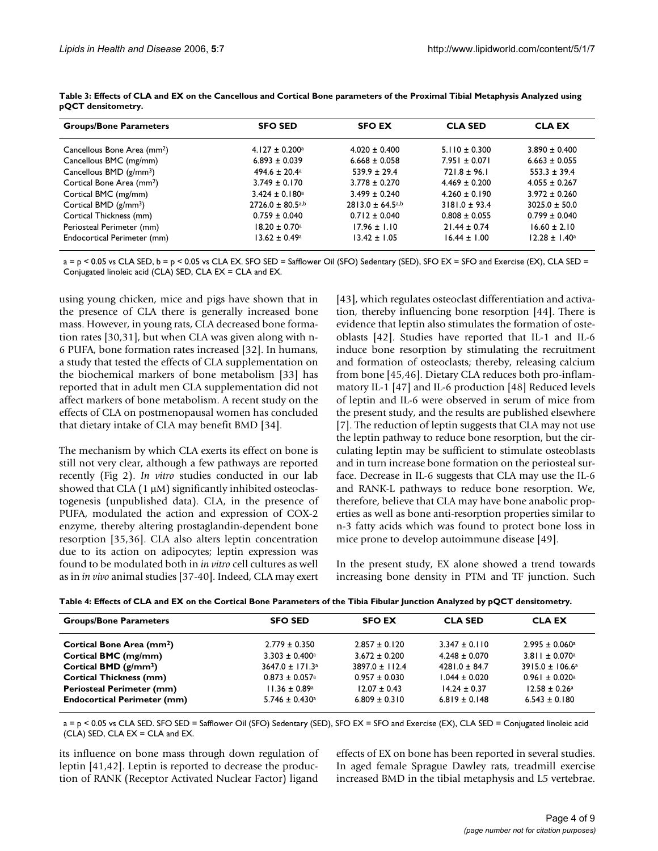| <b>Groups/Bone Parameters</b>           | <b>SFO SED</b>                   | <b>SFO EX</b>           | <b>CLA SED</b>    | <b>CLA EX</b>      |
|-----------------------------------------|----------------------------------|-------------------------|-------------------|--------------------|
| Cancellous Bone Area (mm <sup>2</sup> ) | $4.127 \pm 0.200$ <sup>a</sup>   | $4.020 \pm 0.400$       | $5.110 \pm 0.300$ | $3.890 \pm 0.400$  |
| Cancellous BMC (mg/mm)                  | $6.893 \pm 0.039$                | $6.668 \pm 0.058$       | $7.951 \pm 0.071$ | $6.663 \pm 0.055$  |
| Cancellous BMD (g/mm <sup>3</sup> )     | $494.6 \pm 20.4^{\circ}$         | $539.9 \pm 29.4$        | $721.8 \pm 96.1$  | $553.3 \pm 39.4$   |
| Cortical Bone Area (mm <sup>2</sup> )   | $3.749 \pm 0.170$                | $3.778 \pm 0.270$       | $4.469 + 0.200$   | $4.055 \pm 0.267$  |
| Cortical BMC (mg/mm)                    | $3.424 \pm 0.180^{\circ}$        | $3.499 \pm 0.240$       | $4.260 \pm 0.190$ | $3.972 \pm 0.260$  |
| Cortical BMD $(g/mm^3)$                 | $2726.0 \pm 80.5$ <sub>a,b</sub> | $2813.0 \pm 64.5^{a,b}$ | $3181.0 \pm 93.4$ | $3025.0 \pm 50.0$  |
| Cortical Thickness (mm)                 | $0.759 \pm 0.040$                | $0.712 \pm 0.040$       | $0.808 \pm 0.055$ | $0.799 \pm 0.040$  |
| Periosteal Perimeter (mm)               | $18.20 \pm 0.70$ <sup>a</sup>    | $17.96 \pm 1.10$        | $21.44 \pm 0.74$  | $16.60 \pm 2.10$   |
| Endocortical Perimeter (mm)             | $13.62 \pm 0.49^{\circ}$         | $13.42 \pm 1.05$        | $16.44 \pm 1.00$  | $12.28 \pm 1.40^a$ |

**Table 3: Effects of CLA and EX on the Cancellous and Cortical Bone parameters of the Proximal Tibial Metaphysis Analyzed using pQCT densitometry.**

a = p < 0.05 vs CLA SED, b = p < 0.05 vs CLA EX. SFO SED = Safflower Oil (SFO) Sedentary (SED), SFO EX = SFO and Exercise (EX), CLA SED = Conjugated linoleic acid (CLA) SED, CLA EX = CLA and EX.

using young chicken, mice and pigs have shown that in the presence of CLA there is generally increased bone mass. However, in young rats, CLA decreased bone formation rates [30,31], but when CLA was given along with n-6 PUFA, bone formation rates increased [32]. In humans, a study that tested the effects of CLA supplementation on the biochemical markers of bone metabolism [33] has reported that in adult men CLA supplementation did not affect markers of bone metabolism. A recent study on the effects of CLA on postmenopausal women has concluded that dietary intake of CLA may benefit BMD [34].

The mechanism by which CLA exerts its effect on bone is still not very clear, although a few pathways are reported recently (Fig 2). *In vitro* studies conducted in our lab showed that CLA  $(1 \mu M)$  significantly inhibited osteoclastogenesis (unpublished data). CLA, in the presence of PUFA, modulated the action and expression of COX-2 enzyme, thereby altering prostaglandin-dependent bone resorption [35,36]. CLA also alters leptin concentration due to its action on adipocytes; leptin expression was found to be modulated both in *in vitro* cell cultures as well as in *in vivo* animal studies [37-40]. Indeed, CLA may exert

[43], which regulates osteoclast differentiation and activation, thereby influencing bone resorption [44]. There is evidence that leptin also stimulates the formation of osteoblasts [42]. Studies have reported that IL-1 and IL-6 induce bone resorption by stimulating the recruitment and formation of osteoclasts; thereby, releasing calcium from bone [45,46]. Dietary CLA reduces both pro-inflammatory IL-1 [47] and IL-6 production [48] Reduced levels of leptin and IL-6 were observed in serum of mice from the present study, and the results are published elsewhere [7]. The reduction of leptin suggests that CLA may not use the leptin pathway to reduce bone resorption, but the circulating leptin may be sufficient to stimulate osteoblasts and in turn increase bone formation on the periosteal surface. Decrease in IL-6 suggests that CLA may use the IL-6 and RANK-L pathways to reduce bone resorption. We, therefore, believe that CLA may have bone anabolic properties as well as bone anti-resorption properties similar to n-3 fatty acids which was found to protect bone loss in mice prone to develop autoimmune disease [49].

In the present study, EX alone showed a trend towards increasing bone density in PTM and TF junction. Such

| Table 4: Effects of CLA and EX on the Cortical Bone Parameters of the Tibia Fibular Junction Analyzed by pQCT densitometry. |  |  |
|-----------------------------------------------------------------------------------------------------------------------------|--|--|

| <b>Groups/Bone Parameters</b>         | <b>SFO SED</b>                  | <b>SFO EX</b>      | <b>CLA SED</b>    | <b>CLA EX</b>                  |
|---------------------------------------|---------------------------------|--------------------|-------------------|--------------------------------|
| Cortical Bone Area (mm <sup>2</sup> ) | $2.779 \pm 0.350$               | $2.857 \pm 0.120$  | $3.347 \pm 0.110$ | $2.995 \pm 0.060$ <sup>a</sup> |
| Cortical BMC (mg/mm)                  | $3.303 \pm 0.400$ <sup>a</sup>  | $3.672 \pm 0.200$  | $4.248 \pm 0.070$ | $3.811 \pm 0.070$ <sup>a</sup> |
| Cortical BMD $(g/mm^3)$               | $3647.0 \pm 171.3$ <sup>a</sup> | $3897.0 \pm 112.4$ | $4281.0 \pm 84.7$ | $3915.0 \pm 106.6^a$           |
| <b>Cortical Thickness (mm)</b>        | $0.873 \pm 0.057$ <sup>a</sup>  | $0.957 \pm 0.030$  | $1.044 \pm 0.020$ | $0.961 \pm 0.020$ <sup>a</sup> |
| <b>Periosteal Perimeter (mm)</b>      | $11.36 \pm 0.89^{\circ}$        | $12.07 \pm 0.43$   | $14.24 \pm 0.37$  | $12.58 \pm 0.26$ <sup>a</sup>  |
| <b>Endocortical Perimeter (mm)</b>    | $5.746 \pm 0.430$ <sup>a</sup>  | $6.809 \pm 0.310$  | $6.819 \pm 0.148$ | $6.543 \pm 0.180$              |

a = p < 0.05 vs CLA SED. SFO SED = Safflower Oil (SFO) Sedentary (SED), SFO EX = SFO and Exercise (EX), CLA SED = Conjugated linoleic acid (CLA) SED, CLA EX = CLA and EX.

its influence on bone mass through down regulation of leptin [41,42]. Leptin is reported to decrease the production of RANK (Receptor Activated Nuclear Factor) ligand

effects of EX on bone has been reported in several studies. In aged female Sprague Dawley rats, treadmill exercise increased BMD in the tibial metaphysis and L5 vertebrae.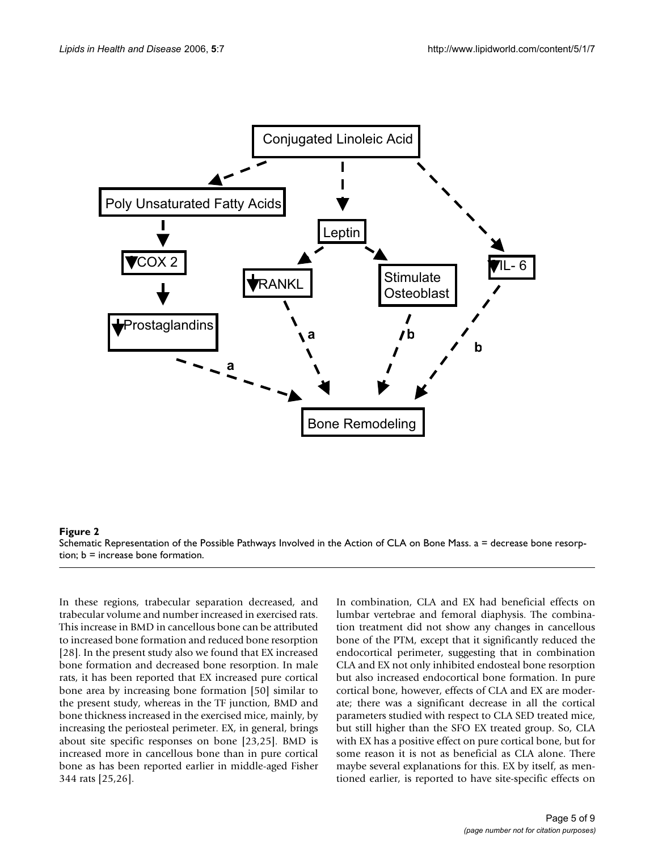

# Schematic Representation of the Possible Pathways **Figure 2** Involved in the Action of CLA on Bone Mass

Schematic Representation of the Possible Pathways Involved in the Action of CLA on Bone Mass. a = decrease bone resorption; b = increase bone formation.

In these regions, trabecular separation decreased, and trabecular volume and number increased in exercised rats. This increase in BMD in cancellous bone can be attributed to increased bone formation and reduced bone resorption [28]. In the present study also we found that EX increased bone formation and decreased bone resorption. In male rats, it has been reported that EX increased pure cortical bone area by increasing bone formation [50] similar to the present study, whereas in the TF junction, BMD and bone thickness increased in the exercised mice, mainly, by increasing the periosteal perimeter. EX, in general, brings about site specific responses on bone [23,25]. BMD is increased more in cancellous bone than in pure cortical bone as has been reported earlier in middle-aged Fisher 344 rats [25,26].

In combination, CLA and EX had beneficial effects on lumbar vertebrae and femoral diaphysis. The combination treatment did not show any changes in cancellous bone of the PTM, except that it significantly reduced the endocortical perimeter, suggesting that in combination CLA and EX not only inhibited endosteal bone resorption but also increased endocortical bone formation. In pure cortical bone, however, effects of CLA and EX are moderate; there was a significant decrease in all the cortical parameters studied with respect to CLA SED treated mice, but still higher than the SFO EX treated group. So, CLA with EX has a positive effect on pure cortical bone, but for some reason it is not as beneficial as CLA alone. There maybe several explanations for this. EX by itself, as mentioned earlier, is reported to have site-specific effects on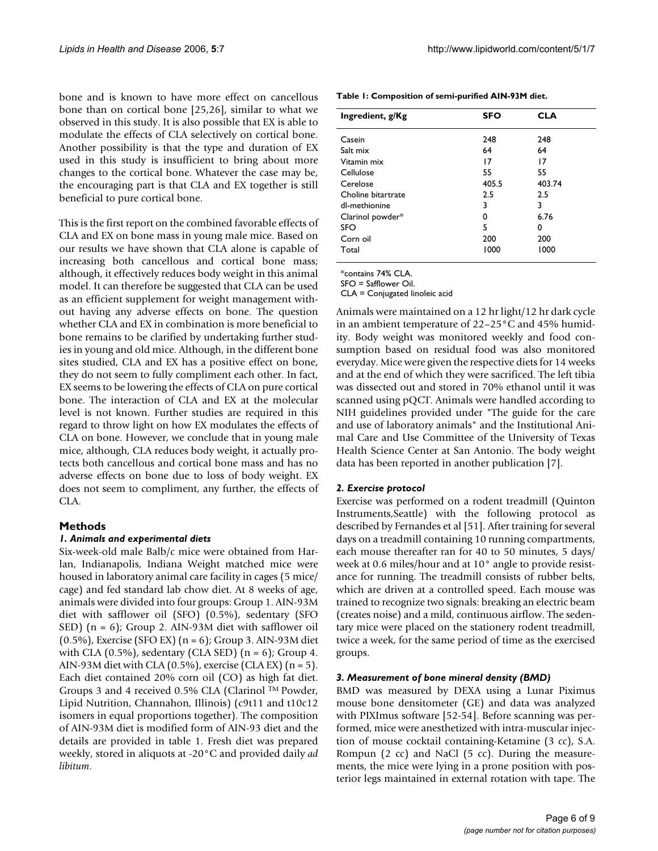bone and is known to have more effect on cancellous bone than on cortical bone [25,26], similar to what we observed in this study. It is also possible that EX is able to modulate the effects of CLA selectively on cortical bone. Another possibility is that the type and duration of EX used in this study is insufficient to bring about more changes to the cortical bone. Whatever the case may be, the encouraging part is that CLA and EX together is still beneficial to pure cortical bone.

This is the first report on the combined favorable effects of CLA and EX on bone mass in young male mice. Based on our results we have shown that CLA alone is capable of increasing both cancellous and cortical bone mass; although, it effectively reduces body weight in this animal model. It can therefore be suggested that CLA can be used as an efficient supplement for weight management without having any adverse effects on bone. The question whether CLA and EX in combination is more beneficial to bone remains to be clarified by undertaking further studies in young and old mice. Although, in the different bone sites studied, CLA and EX has a positive effect on bone, they do not seem to fully compliment each other. In fact, EX seems to be lowering the effects of CLA on pure cortical bone. The interaction of CLA and EX at the molecular level is not known. Further studies are required in this regard to throw light on how EX modulates the effects of CLA on bone. However, we conclude that in young male mice, although, CLA reduces body weight, it actually protects both cancellous and cortical bone mass and has no adverse effects on bone due to loss of body weight. EX does not seem to compliment, any further, the effects of CLA.

#### **Methods**

#### *1. Animals and experimental diets*

Six-week-old male Balb/c mice were obtained from Harlan, Indianapolis, Indiana Weight matched mice were housed in laboratory animal care facility in cages (5 mice/ cage) and fed standard lab chow diet. At 8 weeks of age, animals were divided into four groups: Group 1. AIN-93M diet with safflower oil (SFO) (0.5%), sedentary (SFO SED) (n = 6); Group 2. AIN-93M diet with safflower oil (0.5%), Exercise (SFO EX) ( $n = 6$ ); Group 3. AIN-93M diet with CLA (0.5%), sedentary (CLA SED) ( $n = 6$ ); Group 4. AIN-93M diet with CLA  $(0.5\%)$ , exercise  $(CLA EX)$   $(n = 5)$ . Each diet contained 20% corn oil (CO) as high fat diet. Groups 3 and 4 received 0.5% CLA (Clarinol TM Powder, Lipid Nutrition, Channahon, Illinois) (c9t11 and t10c12 isomers in equal proportions together). The composition of AIN-93M diet is modified form of AIN-93 diet and the details are provided in table 1. Fresh diet was prepared weekly, stored in aliquots at -20°C and provided daily *ad libitum*.

| Ingredient, g/Kg   | SFO   | <b>CLA</b> |  |
|--------------------|-------|------------|--|
| Casein             | 248   | 248        |  |
| Salt mix           | 64    | 64         |  |
| Vitamin mix        | 17    | 17         |  |
| Cellulose          | 55    | 55         |  |
| Cerelose           | 405.5 | 403.74     |  |
| Choline bitartrate | 2.5   | 2.5        |  |
| dl-methionine      | 3     | 3          |  |
| Clarinol powder*   | 0     | 6.76       |  |
| SFO                | 5     | 0          |  |
| Corn oil           | 200   | 200        |  |
| Total              | 1000  | 1000       |  |

**Table 1: Composition of semi-purified AIN-93M diet.**

\*contains 74% CLA.

SFO = Safflower Oil.

CLA = Conjugated linoleic acid

Animals were maintained on a 12 hr light/12 hr dark cycle in an ambient temperature of 22–25°C and 45% humidity. Body weight was monitored weekly and food consumption based on residual food was also monitored everyday. Mice were given the respective diets for 14 weeks and at the end of which they were sacrificed. The left tibia was dissected out and stored in 70% ethanol until it was scanned using pQCT. Animals were handled according to NIH guidelines provided under "The guide for the care and use of laboratory animals" and the Institutional Animal Care and Use Committee of the University of Texas Health Science Center at San Antonio. The body weight data has been reported in another publication [7].

#### *2. Exercise protocol*

Exercise was performed on a rodent treadmill (Quinton Instruments,Seattle) with the following protocol as described by Fernandes et al [51]. After training for several days on a treadmill containing 10 running compartments, each mouse thereafter ran for 40 to 50 minutes, 5 days/ week at 0.6 miles/hour and at 10° angle to provide resistance for running. The treadmill consists of rubber belts, which are driven at a controlled speed. Each mouse was trained to recognize two signals: breaking an electric beam (creates noise) and a mild, continuous airflow. The sedentary mice were placed on the stationery rodent treadmill, twice a week, for the same period of time as the exercised groups.

#### *3. Measurement of bone mineral density (BMD)*

BMD was measured by DEXA using a Lunar Piximus mouse bone densitometer (GE) and data was analyzed with PIXImus software [52-54]. Before scanning was performed, mice were anesthetized with intra-muscular injection of mouse cocktail containing-Ketamine (3 cc), S.A. Rompun (2 cc) and NaCl (5 cc). During the measurements, the mice were lying in a prone position with posterior legs maintained in external rotation with tape. The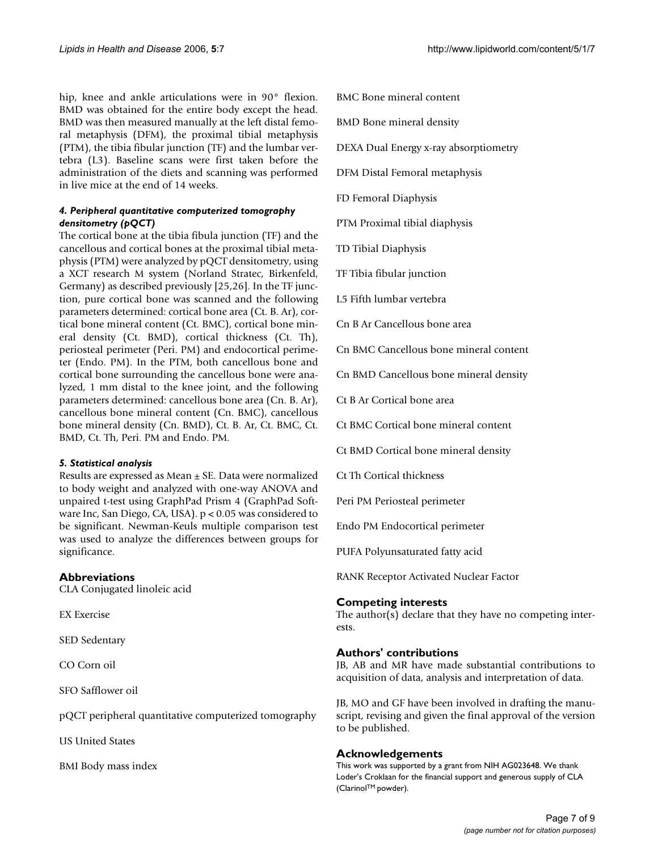hip, knee and ankle articulations were in 90° flexion. BMD was obtained for the entire body except the head. BMD was then measured manually at the left distal femoral metaphysis (DFM), the proximal tibial metaphysis (PTM), the tibia fibular junction (TF) and the lumbar vertebra (L3). Baseline scans were first taken before the administration of the diets and scanning was performed in live mice at the end of 14 weeks.

# *4. Peripheral quantitative computerized tomography densitometry (pQCT)*

The cortical bone at the tibia fibula junction (TF) and the cancellous and cortical bones at the proximal tibial metaphysis (PTM) were analyzed by pQCT densitometry, using a XCT research M system (Norland Stratec, Birkenfeld, Germany) as described previously [25,26]. In the TF junction, pure cortical bone was scanned and the following parameters determined: cortical bone area (Ct. B. Ar), cortical bone mineral content (Ct. BMC), cortical bone mineral density (Ct. BMD), cortical thickness (Ct. Th), periosteal perimeter (Peri. PM) and endocortical perimeter (Endo. PM). In the PTM, both cancellous bone and cortical bone surrounding the cancellous bone were analyzed, 1 mm distal to the knee joint, and the following parameters determined: cancellous bone area (Cn. B. Ar), cancellous bone mineral content (Cn. BMC), cancellous bone mineral density (Cn. BMD), Ct. B. Ar, Ct. BMC, Ct. BMD, Ct. Th, Peri. PM and Endo. PM.

# *5. Statistical analysis*

Results are expressed as Mean ± SE. Data were normalized to body weight and analyzed with one-way ANOVA and unpaired t-test using GraphPad Prism 4 (GraphPad Software Inc, San Diego, CA, USA). p < 0.05 was considered to be significant. Newman-Keuls multiple comparison test was used to analyze the differences between groups for significance.

# **Abbreviations**

CLA Conjugated linoleic acid

EX Exercise

SED Sedentary

CO Corn oil

SFO Safflower oil

pQCT peripheral quantitative computerized tomography

US United States

BMI Body mass index

- BMC Bone mineral content
- BMD Bone mineral density
- DEXA Dual Energy x-ray absorptiometry
- DFM Distal Femoral metaphysis
- FD Femoral Diaphysis
- PTM Proximal tibial diaphysis
- TD Tibial Diaphysis
- TF Tibia fibular junction
- L5 Fifth lumbar vertebra
- Cn B Ar Cancellous bone area
- Cn BMC Cancellous bone mineral content
- Cn BMD Cancellous bone mineral density
- Ct B Ar Cortical bone area
- Ct BMC Cortical bone mineral content
- Ct BMD Cortical bone mineral density
- Ct Th Cortical thickness
- Peri PM Periosteal perimeter
- Endo PM Endocortical perimeter
- PUFA Polyunsaturated fatty acid
- RANK Receptor Activated Nuclear Factor

# **Competing interests**

The author(s) declare that they have no competing interests.

## **Authors' contributions**

JB, AB and MR have made substantial contributions to acquisition of data, analysis and interpretation of data.

JB, MO and GF have been involved in drafting the manuscript, revising and given the final approval of the version to be published.

# **Acknowledgements**

This work was supported by a grant from NIH AG023648. We thank Loder's Croklaan for the financial support and generous supply of CLA (ClarinolTM powder).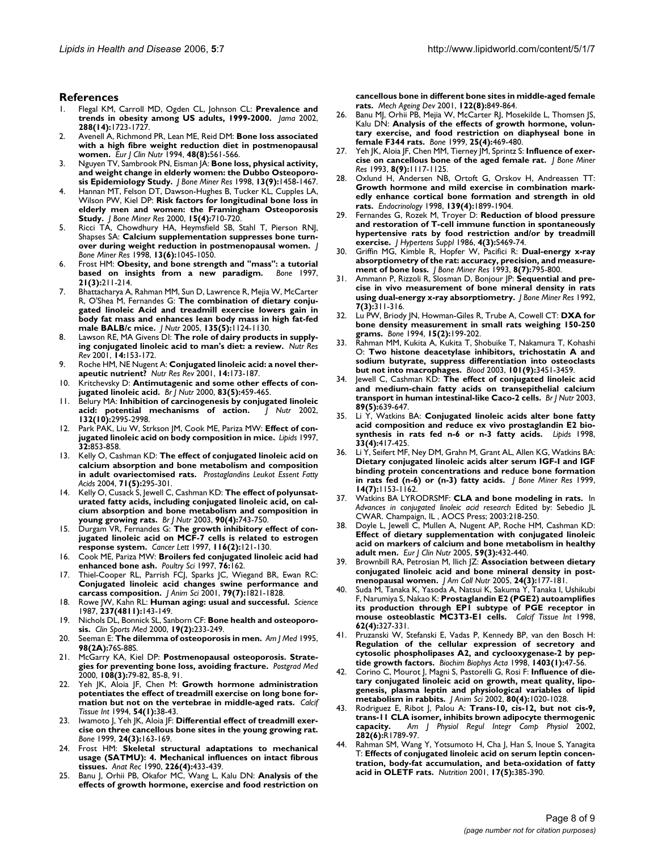#### **References**

- 1. Flegal KM, Carroll MD, Ogden CL, Johnson CL: **[Prevalence and](http://www.ncbi.nlm.nih.gov/entrez/query.fcgi?cmd=Retrieve&db=PubMed&dopt=Abstract&list_uids=12365955) [trends in obesity among US adults, 1999-2000.](http://www.ncbi.nlm.nih.gov/entrez/query.fcgi?cmd=Retrieve&db=PubMed&dopt=Abstract&list_uids=12365955)** *Jama* 2002, **288(14):**1723-1727.
- 2. Avenell A, Richmond PR, Lean ME, Reid DM: **[Bone loss associated](http://www.ncbi.nlm.nih.gov/entrez/query.fcgi?cmd=Retrieve&db=PubMed&dopt=Abstract&list_uids=7957001) [with a high fibre weight reduction diet in postmenopausal](http://www.ncbi.nlm.nih.gov/entrez/query.fcgi?cmd=Retrieve&db=PubMed&dopt=Abstract&list_uids=7957001) [women.](http://www.ncbi.nlm.nih.gov/entrez/query.fcgi?cmd=Retrieve&db=PubMed&dopt=Abstract&list_uids=7957001)** *Eur J Clin Nutr* 1994, **48(8):**561-566.
- 3. Nguyen TV, Sambrook PN, Eisman JA: **[Bone loss, physical activity,](http://www.ncbi.nlm.nih.gov/entrez/query.fcgi?cmd=Retrieve&db=PubMed&dopt=Abstract&list_uids=9738519) [and weight change in elderly women: the Dubbo Osteoporo](http://www.ncbi.nlm.nih.gov/entrez/query.fcgi?cmd=Retrieve&db=PubMed&dopt=Abstract&list_uids=9738519)[sis Epidemiology Study.](http://www.ncbi.nlm.nih.gov/entrez/query.fcgi?cmd=Retrieve&db=PubMed&dopt=Abstract&list_uids=9738519)** *J Bone Miner Res* 1998, **13(9):**1458-1467.
- 4. Hannan MT, Felson DT, Dawson-Hughes B, Tucker KL, Cupples LA, Wilson PW, Kiel DP: **[Risk factors for longitudinal bone loss in](http://www.ncbi.nlm.nih.gov/entrez/query.fcgi?cmd=Retrieve&db=PubMed&dopt=Abstract&list_uids=10780863) [elderly men and women: the Framingham Osteoporosis](http://www.ncbi.nlm.nih.gov/entrez/query.fcgi?cmd=Retrieve&db=PubMed&dopt=Abstract&list_uids=10780863) [Study.](http://www.ncbi.nlm.nih.gov/entrez/query.fcgi?cmd=Retrieve&db=PubMed&dopt=Abstract&list_uids=10780863)** *J Bone Miner Res* 2000, **15(4):**710-720.
- 5. Ricci TA, Chowdhury HA, Heymsfield SB, Stahl T, Pierson RNJ, Shapses SA: **[Calcium supplementation suppresses bone turn](http://www.ncbi.nlm.nih.gov/entrez/query.fcgi?cmd=Retrieve&db=PubMed&dopt=Abstract&list_uids=9626637)[over during weight reduction in postmenopausal women.](http://www.ncbi.nlm.nih.gov/entrez/query.fcgi?cmd=Retrieve&db=PubMed&dopt=Abstract&list_uids=9626637)** *J Bone Miner Res* 1998, **13(6):**1045-1050.
- 6. Frost HM: **[Obesity, and bone strength and "mass": a tutorial](http://www.ncbi.nlm.nih.gov/entrez/query.fcgi?cmd=Retrieve&db=PubMed&dopt=Abstract&list_uids=9276084) [based on insights from a new paradigm.](http://www.ncbi.nlm.nih.gov/entrez/query.fcgi?cmd=Retrieve&db=PubMed&dopt=Abstract&list_uids=9276084)** *Bone* 1997, **21(3):**211-214.
- 7. Bhattacharya A, Rahman MM, Sun D, Lawrence R, Mejia W, McCarter R, O'Shea M, Fernandes G: **[The combination of dietary conju](http://www.ncbi.nlm.nih.gov/entrez/query.fcgi?cmd=Retrieve&db=PubMed&dopt=Abstract&list_uids=15867292)[gated linoleic Acid and treadmill exercise lowers gain in](http://www.ncbi.nlm.nih.gov/entrez/query.fcgi?cmd=Retrieve&db=PubMed&dopt=Abstract&list_uids=15867292) body fat mass and enhances lean body mass in high fat-fed [male BALB/c mice.](http://www.ncbi.nlm.nih.gov/entrez/query.fcgi?cmd=Retrieve&db=PubMed&dopt=Abstract&list_uids=15867292)** *J Nutr* 2005, **135(5):**1124-1130.
- 8. Lawson RE, MA Givens DI: **The role of dairy products in supplying conjugated linoleic acid to man's diet: a review.** *Nutr Res Rev* 2001, **14:**153-172.
- 9. Roche HM, NE Nugent A: **Conjugated linoleic acid: a novel therapeutic nutrient?** *Nutr Res Rev* 2001, **14:**173-187.
- 10. Kritchevsky D: **[Antimutagenic and some other effects of con](http://www.ncbi.nlm.nih.gov/entrez/query.fcgi?cmd=Retrieve&db=PubMed&dopt=Abstract&list_uids=10953669)[jugated linoleic acid.](http://www.ncbi.nlm.nih.gov/entrez/query.fcgi?cmd=Retrieve&db=PubMed&dopt=Abstract&list_uids=10953669)** *Br J Nutr* 2000, **83(5):**459-465.
- 11. Belury MA: **[Inhibition of carcinogenesis by conjugated linoleic](http://www.ncbi.nlm.nih.gov/entrez/query.fcgi?cmd=Retrieve&db=PubMed&dopt=Abstract&list_uids=12368384)** [acid: potential mechanisms of action.](http://www.ncbi.nlm.nih.gov/entrez/query.fcgi?cmd=Retrieve&db=PubMed&dopt=Abstract&list_uids=12368384) **132(10):**2995-2998.
- 12. Park PAK, Liu W, Strkson JM, Cook ME, Pariza MW: **[Effect of con](http://www.ncbi.nlm.nih.gov/entrez/query.fcgi?cmd=Retrieve&db=PubMed&dopt=Abstract&list_uids=9270977)[jugated linoleic acid on body composition in mice.](http://www.ncbi.nlm.nih.gov/entrez/query.fcgi?cmd=Retrieve&db=PubMed&dopt=Abstract&list_uids=9270977)** *Lipids* 1997, **32:**853-858.
- 13. Kelly O, Cashman KD: **[The effect of conjugated linoleic acid on](http://www.ncbi.nlm.nih.gov/entrez/query.fcgi?cmd=Retrieve&db=PubMed&dopt=Abstract&list_uids=15380816) [calcium absorption and bone metabolism and composition](http://www.ncbi.nlm.nih.gov/entrez/query.fcgi?cmd=Retrieve&db=PubMed&dopt=Abstract&list_uids=15380816) [in adult ovariectomised rats.](http://www.ncbi.nlm.nih.gov/entrez/query.fcgi?cmd=Retrieve&db=PubMed&dopt=Abstract&list_uids=15380816)** *Prostaglandins Leukot Essent Fatty Acids* 2004, **71(5):**295-301.
- 14. Kelly O, Cusack S, Jewell C, Cashman KD: **[The effect of polyunsat](http://www.ncbi.nlm.nih.gov/entrez/query.fcgi?cmd=Retrieve&db=PubMed&dopt=Abstract&list_uids=13129442)[urated fatty acids, including conjugated linoleic acid, on cal](http://www.ncbi.nlm.nih.gov/entrez/query.fcgi?cmd=Retrieve&db=PubMed&dopt=Abstract&list_uids=13129442)cium absorption and bone metabolism and composition in [young growing rats.](http://www.ncbi.nlm.nih.gov/entrez/query.fcgi?cmd=Retrieve&db=PubMed&dopt=Abstract&list_uids=13129442)** *Br J Nutr* 2003, **90(4):**743-750.
- 15. Durgam VR, Fernandes G: **[The growth inhibitory effect of con](http://www.ncbi.nlm.nih.gov/entrez/query.fcgi?cmd=Retrieve&db=PubMed&dopt=Abstract&list_uids=9215854)[jugated linoleic acid on MCF-7 cells is related to estrogen](http://www.ncbi.nlm.nih.gov/entrez/query.fcgi?cmd=Retrieve&db=PubMed&dopt=Abstract&list_uids=9215854) [response system.](http://www.ncbi.nlm.nih.gov/entrez/query.fcgi?cmd=Retrieve&db=PubMed&dopt=Abstract&list_uids=9215854)** *Cancer Lett* 1997, **116(2):**121-130.
- 16. Cook ME, Pariza MW: **Broilers fed conjugated linoleic acid had enhanced bone ash.** *Poultry Sci* 1997, **76:**162.
- 17. Thiel-Cooper RL, Parrish FCJ, Sparks JC, Wiegand BR, Ewan RC: **[Conjugated linoleic acid changes swine performance and](http://www.ncbi.nlm.nih.gov/entrez/query.fcgi?cmd=Retrieve&db=PubMed&dopt=Abstract&list_uids=11465369) [carcass composition.](http://www.ncbi.nlm.nih.gov/entrez/query.fcgi?cmd=Retrieve&db=PubMed&dopt=Abstract&list_uids=11465369)** *J Anim Sci* 2001, **79(7):**1821-1828.
- 18. Rowe JW, Kahn RL: **[Human aging: usual and successful.](http://www.ncbi.nlm.nih.gov/entrez/query.fcgi?cmd=Retrieve&db=PubMed&dopt=Abstract&list_uids=3299702)** *Science* 1987, **237(4811):**143-149.
- 19. Nichols DL, Bonnick SL, Sanborn CF: **[Bone health and osteoporo](http://www.ncbi.nlm.nih.gov/entrez/query.fcgi?cmd=Retrieve&db=PubMed&dopt=Abstract&list_uids=10740757)[sis.](http://www.ncbi.nlm.nih.gov/entrez/query.fcgi?cmd=Retrieve&db=PubMed&dopt=Abstract&list_uids=10740757)** *Clin Sports Med* 2000, **19(2):**233-249.
- 20. Seeman E: **[The dilemma of osteoporosis in men.](http://www.ncbi.nlm.nih.gov/entrez/query.fcgi?cmd=Retrieve&db=PubMed&dopt=Abstract&list_uids=7709940)** *Am J Med* 1995, **98(2A):**76S-88S.
- 21. McGarry KA, Kiel DP: **[Postmenopausal osteoporosis. Strate](http://www.ncbi.nlm.nih.gov/entrez/query.fcgi?cmd=Retrieve&db=PubMed&dopt=Abstract&list_uids=11004937)[gies for preventing bone loss, avoiding fracture.](http://www.ncbi.nlm.nih.gov/entrez/query.fcgi?cmd=Retrieve&db=PubMed&dopt=Abstract&list_uids=11004937)** *Postgrad Med* 2000, **108(3):**79-82, 85-8, 91.
- 22. Yeh JK, Aloia JF, Chen M: **[Growth hormone administration](http://www.ncbi.nlm.nih.gov/entrez/query.fcgi?cmd=Retrieve&db=PubMed&dopt=Abstract&list_uids=8118752) [potentiates the effect of treadmill exercise on long bone for](http://www.ncbi.nlm.nih.gov/entrez/query.fcgi?cmd=Retrieve&db=PubMed&dopt=Abstract&list_uids=8118752)[mation but not on the vertebrae in middle-aged rats.](http://www.ncbi.nlm.nih.gov/entrez/query.fcgi?cmd=Retrieve&db=PubMed&dopt=Abstract&list_uids=8118752)** *Calcif Tissue Int* 1994, **54(1):**38-43.
- 23. Iwamoto J, Yeh JK, Aloia JF: **[Differential effect of treadmill exer](http://www.ncbi.nlm.nih.gov/entrez/query.fcgi?cmd=Retrieve&db=PubMed&dopt=Abstract&list_uids=10071907)[cise on three cancellous bone sites in the young growing rat.](http://www.ncbi.nlm.nih.gov/entrez/query.fcgi?cmd=Retrieve&db=PubMed&dopt=Abstract&list_uids=10071907)** *Bone* 1999, **24(3):**163-169.
- 24. Frost HM: **[Skeletal structural adaptations to mechanical](http://www.ncbi.nlm.nih.gov/entrez/query.fcgi?cmd=Retrieve&db=PubMed&dopt=Abstract&list_uids=2184697) [usage \(SATMU\): 4. Mechanical influences on intact fibrous](http://www.ncbi.nlm.nih.gov/entrez/query.fcgi?cmd=Retrieve&db=PubMed&dopt=Abstract&list_uids=2184697) [tissues.](http://www.ncbi.nlm.nih.gov/entrez/query.fcgi?cmd=Retrieve&db=PubMed&dopt=Abstract&list_uids=2184697)** *Anat Rec* 1990, **226(4):**433-439.
- 25. Banu J, Orhii PB, Okafor MC, Wang L, Kalu DN: **[Analysis of the](http://www.ncbi.nlm.nih.gov/entrez/query.fcgi?cmd=Retrieve&db=PubMed&dopt=Abstract&list_uids=11337013) [effects of growth hormone, exercise and food restriction on](http://www.ncbi.nlm.nih.gov/entrez/query.fcgi?cmd=Retrieve&db=PubMed&dopt=Abstract&list_uids=11337013)**

**[cancellous bone in different bone sites in middle-aged female](http://www.ncbi.nlm.nih.gov/entrez/query.fcgi?cmd=Retrieve&db=PubMed&dopt=Abstract&list_uids=11337013) [rats.](http://www.ncbi.nlm.nih.gov/entrez/query.fcgi?cmd=Retrieve&db=PubMed&dopt=Abstract&list_uids=11337013)** *Mech Ageing Dev* 2001, **122(8):**849-864.

- 26. Banu MJ, Orhii PB, Mejia W, McCarter RJ, Mosekilde L, Thomsen JS, Kalu DN: **[Analysis of the effects of growth hormone, volun](http://www.ncbi.nlm.nih.gov/entrez/query.fcgi?cmd=Retrieve&db=PubMed&dopt=Abstract&list_uids=10511115)[tary exercise, and food restriction on diaphyseal bone in](http://www.ncbi.nlm.nih.gov/entrez/query.fcgi?cmd=Retrieve&db=PubMed&dopt=Abstract&list_uids=10511115) [female F344 rats.](http://www.ncbi.nlm.nih.gov/entrez/query.fcgi?cmd=Retrieve&db=PubMed&dopt=Abstract&list_uids=10511115)** *Bone* 1999, **25(4):**469-480.
- 27. Yeh JK, Aloia JF, Chen MM, Tierney JM, Sprintz S: **[Influence of exer](http://www.ncbi.nlm.nih.gov/entrez/query.fcgi?cmd=Retrieve&db=PubMed&dopt=Abstract&list_uids=8237482)[cise on cancellous bone of the aged female rat.](http://www.ncbi.nlm.nih.gov/entrez/query.fcgi?cmd=Retrieve&db=PubMed&dopt=Abstract&list_uids=8237482)** *J Bone Miner Res* 1993, **8(9):**1117-1125.
- 28. Oxlund H, Andersen NB, Ortoft G, Orskov H, Andreassen TT: **[Growth hormone and mild exercise in combination mark](http://www.ncbi.nlm.nih.gov/entrez/query.fcgi?cmd=Retrieve&db=PubMed&dopt=Abstract&list_uids=9528976)edly enhance cortical bone formation and strength in old [rats.](http://www.ncbi.nlm.nih.gov/entrez/query.fcgi?cmd=Retrieve&db=PubMed&dopt=Abstract&list_uids=9528976)** *Endocrinology* 1998, **139(4):**1899-1904.
- 29. Fernandes G, Rozek M, Troyer D: **[Reduction of blood pressure](http://www.ncbi.nlm.nih.gov/entrez/query.fcgi?cmd=Retrieve&db=PubMed&dopt=Abstract&list_uids=3491200) [and restoration of T-cell immune function in spontaneously](http://www.ncbi.nlm.nih.gov/entrez/query.fcgi?cmd=Retrieve&db=PubMed&dopt=Abstract&list_uids=3491200) hypertensive rats by food restriction and/or by treadmill [exercise.](http://www.ncbi.nlm.nih.gov/entrez/query.fcgi?cmd=Retrieve&db=PubMed&dopt=Abstract&list_uids=3491200)** *J Hypertens Suppl* 1986, **4(3):**S469-74.
- 30. Griffin MG, Kimble R, Hopfer W, Pacifici R: **[Dual-energy x-ray](http://www.ncbi.nlm.nih.gov/entrez/query.fcgi?cmd=Retrieve&db=PubMed&dopt=Abstract&list_uids=8352062) [absorptiometry of the rat: accuracy, precision, and measure](http://www.ncbi.nlm.nih.gov/entrez/query.fcgi?cmd=Retrieve&db=PubMed&dopt=Abstract&list_uids=8352062)[ment of bone loss.](http://www.ncbi.nlm.nih.gov/entrez/query.fcgi?cmd=Retrieve&db=PubMed&dopt=Abstract&list_uids=8352062)** *J Bone Miner Res* 1993, **8(7):**795-800.
- 31. Ammann P, Rizzoli R, Slosman D, Bonjour JP: **[Sequential and pre](http://www.ncbi.nlm.nih.gov/entrez/query.fcgi?cmd=Retrieve&db=PubMed&dopt=Abstract&list_uids=1585832)[cise in vivo measurement of bone mineral density in rats](http://www.ncbi.nlm.nih.gov/entrez/query.fcgi?cmd=Retrieve&db=PubMed&dopt=Abstract&list_uids=1585832) [using dual-energy x-ray absorptiometry.](http://www.ncbi.nlm.nih.gov/entrez/query.fcgi?cmd=Retrieve&db=PubMed&dopt=Abstract&list_uids=1585832)** *J Bone Miner Res* 1992, **7(3):**311-316.
- 32. Lu PW, Briody JN, Howman-Giles R, Trube A, Cowell CT: **[DXA for](http://www.ncbi.nlm.nih.gov/entrez/query.fcgi?cmd=Retrieve&db=PubMed&dopt=Abstract&list_uids=8086238) [bone density measurement in small rats weighing 150-250](http://www.ncbi.nlm.nih.gov/entrez/query.fcgi?cmd=Retrieve&db=PubMed&dopt=Abstract&list_uids=8086238) [grams.](http://www.ncbi.nlm.nih.gov/entrez/query.fcgi?cmd=Retrieve&db=PubMed&dopt=Abstract&list_uids=8086238)** *Bone* 1994, **15(2):**199-202.
- 33. Rahman MM, Kukita A, Kukita T, Shobuike T, Nakamura T, Kohashi O: **[Two histone deacetylase inhibitors, trichostatin A and](http://www.ncbi.nlm.nih.gov/entrez/query.fcgi?cmd=Retrieve&db=PubMed&dopt=Abstract&list_uids=12511413) [sodium butyrate, suppress differentiation into osteoclasts](http://www.ncbi.nlm.nih.gov/entrez/query.fcgi?cmd=Retrieve&db=PubMed&dopt=Abstract&list_uids=12511413) [but not into macrophages.](http://www.ncbi.nlm.nih.gov/entrez/query.fcgi?cmd=Retrieve&db=PubMed&dopt=Abstract&list_uids=12511413)** *Blood* 2003, **101(9):**3451-3459.
- 34. Jewell C, Cashman KD: **[The effect of conjugated linoleic acid](http://www.ncbi.nlm.nih.gov/entrez/query.fcgi?cmd=Retrieve&db=PubMed&dopt=Abstract&list_uids=12720584) [and medium-chain fatty acids on transepithelial calcium](http://www.ncbi.nlm.nih.gov/entrez/query.fcgi?cmd=Retrieve&db=PubMed&dopt=Abstract&list_uids=12720584) [transport in human intestinal-like Caco-2 cells.](http://www.ncbi.nlm.nih.gov/entrez/query.fcgi?cmd=Retrieve&db=PubMed&dopt=Abstract&list_uids=12720584)** *Br J Nutr* 2003, **89(5):**639-647.
- 35. Li Y, Watkins BA: **[Conjugated linoleic acids alter bone fatty](http://www.ncbi.nlm.nih.gov/entrez/query.fcgi?cmd=Retrieve&db=PubMed&dopt=Abstract&list_uids=9590630) [acid composition and reduce ex vivo prostaglandin E2 bio](http://www.ncbi.nlm.nih.gov/entrez/query.fcgi?cmd=Retrieve&db=PubMed&dopt=Abstract&list_uids=9590630)[synthesis in rats fed n-6 or n-3 fatty acids.](http://www.ncbi.nlm.nih.gov/entrez/query.fcgi?cmd=Retrieve&db=PubMed&dopt=Abstract&list_uids=9590630)** *Lipids* 1998, **33(4):**417-425.
- Li Y, Seifert MF, Ney DM, Grahn M, Grant AL, Allen KG, Watkins BA: **[Dietary conjugated linoleic acids alter serum IGF-I and IGF](http://www.ncbi.nlm.nih.gov/entrez/query.fcgi?cmd=Retrieve&db=PubMed&dopt=Abstract&list_uids=10404015) binding protein concentrations and reduce bone formation [in rats fed \(n-6\) or \(n-3\) fatty acids.](http://www.ncbi.nlm.nih.gov/entrez/query.fcgi?cmd=Retrieve&db=PubMed&dopt=Abstract&list_uids=10404015)** *J Bone Miner Res* 1999, **14(7):**1153-1162.
- 37. Watkins BA LYRODRSMF: **CLA and bone modeling in rats.** In *Advances in conjugated linoleic acid research* Edited by: Sebedio JL CWAR. Champaign, IL , AOCS Press; 2003:218-250.
- Doyle L, Jewell C, Mullen A, Nugent AP, Roche HM, Cashman KD: **[Effect of dietary supplementation with conjugated linoleic](http://www.ncbi.nlm.nih.gov/entrez/query.fcgi?cmd=Retrieve&db=PubMed&dopt=Abstract&list_uids=15674313) acid on markers of calcium and bone metabolism in healthy [adult men.](http://www.ncbi.nlm.nih.gov/entrez/query.fcgi?cmd=Retrieve&db=PubMed&dopt=Abstract&list_uids=15674313)** *Eur J Clin Nutr* 2005, **59(3):**432-440.
- 39. Brownbill RA, Petrosian M, Ilich JZ: **[Association between dietary](http://www.ncbi.nlm.nih.gov/entrez/query.fcgi?cmd=Retrieve&db=PubMed&dopt=Abstract&list_uids=15930483) [conjugated linoleic acid and bone mineral density in post](http://www.ncbi.nlm.nih.gov/entrez/query.fcgi?cmd=Retrieve&db=PubMed&dopt=Abstract&list_uids=15930483)[menopausal women.](http://www.ncbi.nlm.nih.gov/entrez/query.fcgi?cmd=Retrieve&db=PubMed&dopt=Abstract&list_uids=15930483)** *J Am Coll Nutr* 2005, **24(3):**177-181.
- 40. Suda M, Tanaka K, Yasoda A, Natsui K, Sakuma Y, Tanaka I, Ushikubi F, Narumiya S, Nakao K: **[Prostaglandin E2 \(PGE2\) autoamplifies](http://www.ncbi.nlm.nih.gov/entrez/query.fcgi?cmd=Retrieve&db=PubMed&dopt=Abstract&list_uids=9504958) [its production through EP1 subtype of PGE receptor in](http://www.ncbi.nlm.nih.gov/entrez/query.fcgi?cmd=Retrieve&db=PubMed&dopt=Abstract&list_uids=9504958) [mouse osteoblastic MC3T3-E1 cells.](http://www.ncbi.nlm.nih.gov/entrez/query.fcgi?cmd=Retrieve&db=PubMed&dopt=Abstract&list_uids=9504958)** *Calcif Tissue Int* 1998, **62(4):**327-331.
- 41. Pruzanski W, Stefanski E, Vadas P, Kennedy BP, van den Bosch H: **[Regulation of the cellular expression of secretory and](http://www.ncbi.nlm.nih.gov/entrez/query.fcgi?cmd=Retrieve&db=PubMed&dopt=Abstract&list_uids=9622592) cytosolic phospholipases A2, and cyclooxygenase-2 by pep[tide growth factors.](http://www.ncbi.nlm.nih.gov/entrez/query.fcgi?cmd=Retrieve&db=PubMed&dopt=Abstract&list_uids=9622592)** *Biochim Biophys Acta* 1998, **1403(1):**47-56.
- Corino C, Mourot J, Magni S, Pastorelli G, Rosi F: [Influence of die](http://www.ncbi.nlm.nih.gov/entrez/query.fcgi?cmd=Retrieve&db=PubMed&dopt=Abstract&list_uids=12002308)**[tary conjugated linoleic acid on growth, meat quality, lipo](http://www.ncbi.nlm.nih.gov/entrez/query.fcgi?cmd=Retrieve&db=PubMed&dopt=Abstract&list_uids=12002308)genesis, plasma leptin and physiological variables of lipid [metabolism in rabbits.](http://www.ncbi.nlm.nih.gov/entrez/query.fcgi?cmd=Retrieve&db=PubMed&dopt=Abstract&list_uids=12002308)** *J Anim Sci* 2002, **80(4):**1020-1028.
- 43. Rodriguez E, Ribot J, Palou A: **[Trans-10, cis-12, but not cis-9,](http://www.ncbi.nlm.nih.gov/entrez/query.fcgi?cmd=Retrieve&db=PubMed&dopt=Abstract&list_uids=12010762) [trans-11 CLA isomer, inhibits brown adipocyte thermogenic](http://www.ncbi.nlm.nih.gov/entrez/query.fcgi?cmd=Retrieve&db=PubMed&dopt=Abstract&list_uids=12010762) [capacity.](http://www.ncbi.nlm.nih.gov/entrez/query.fcgi?cmd=Retrieve&db=PubMed&dopt=Abstract&list_uids=12010762)** *Am J Physiol Regul Integr Comp Physiol* 2002, **282(6):**R1789-97.
- Rahman SM, Wang Y, Yotsumoto H, Cha J, Han S, Inoue S, Yanagita T: **[Effects of conjugated linoleic acid on serum leptin concen](http://www.ncbi.nlm.nih.gov/entrez/query.fcgi?cmd=Retrieve&db=PubMed&dopt=Abstract&list_uids=11377131)[tration, body-fat accumulation, and beta-oxidation of fatty](http://www.ncbi.nlm.nih.gov/entrez/query.fcgi?cmd=Retrieve&db=PubMed&dopt=Abstract&list_uids=11377131) [acid in OLETF rats.](http://www.ncbi.nlm.nih.gov/entrez/query.fcgi?cmd=Retrieve&db=PubMed&dopt=Abstract&list_uids=11377131)** *Nutrition* 2001, **17(5):**385-390.